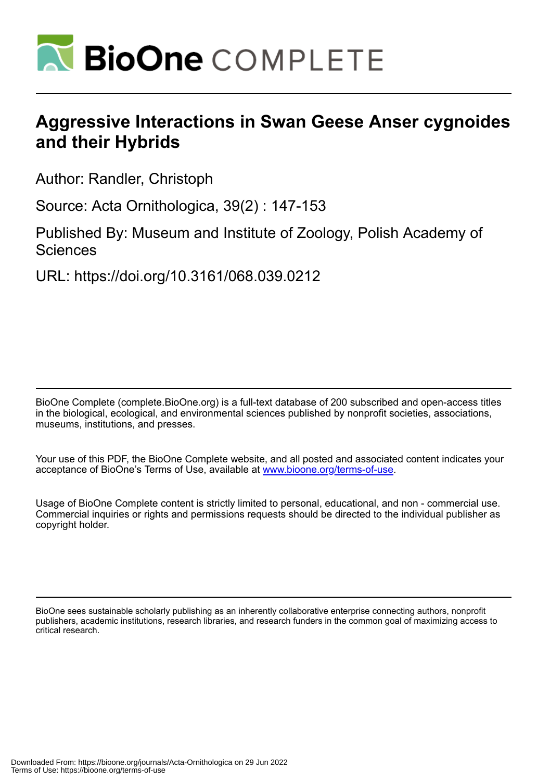

# **Aggressive Interactions in Swan Geese Anser cygnoides and their Hybrids**

Author: Randler, Christoph

Source: Acta Ornithologica, 39(2) : 147-153

Published By: Museum and Institute of Zoology, Polish Academy of **Sciences** 

URL: https://doi.org/10.3161/068.039.0212

BioOne Complete (complete.BioOne.org) is a full-text database of 200 subscribed and open-access titles in the biological, ecological, and environmental sciences published by nonprofit societies, associations, museums, institutions, and presses.

Your use of this PDF, the BioOne Complete website, and all posted and associated content indicates your acceptance of BioOne's Terms of Use, available at www.bioone.org/terms-of-use.

Usage of BioOne Complete content is strictly limited to personal, educational, and non - commercial use. Commercial inquiries or rights and permissions requests should be directed to the individual publisher as copyright holder.

BioOne sees sustainable scholarly publishing as an inherently collaborative enterprise connecting authors, nonprofit publishers, academic institutions, research libraries, and research funders in the common goal of maximizing access to critical research.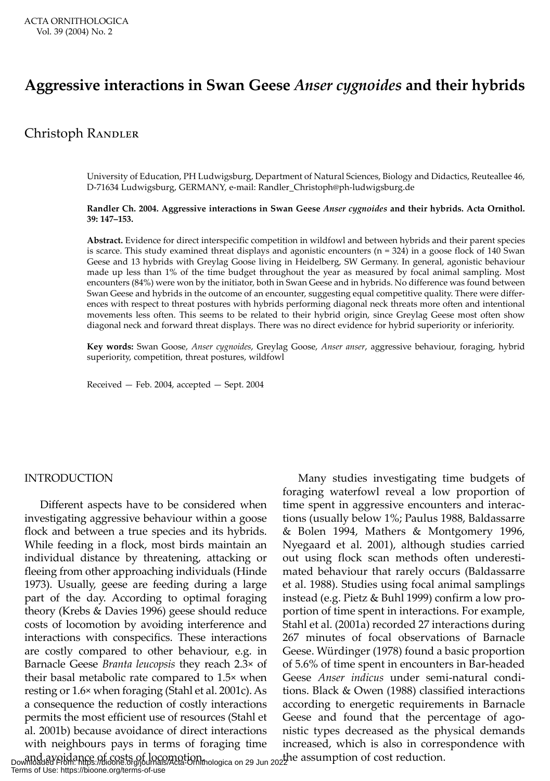# **Aggressive interactions in Swan Geese** *Anser cygnoides* **and their hybrids**

## Christoph Randler

University of Education, PH Ludwigsburg, Department of Natural Sciences, Biology and Didactics, Reuteallee 46, D-71634 Ludwigsburg, GERMANY, e-mail: Randler\_Christoph@ph-ludwigsburg.de

#### **Randler Ch. 2004. Aggressive interactions in Swan Geese** *Anser cygnoides* **and their hybrids. Acta Ornithol. 39: 147–153.**

**Abstract.** Evidence for direct interspecific competition in wildfowl and between hybrids and their parent species is scarce. This study examined threat displays and agonistic encounters (n = 324) in a goose flock of 140 Swan Geese and 13 hybrids with Greylag Goose living in Heidelberg, SW Germany. In general, agonistic behaviour made up less than 1% of the time budget throughout the year as measured by focal animal sampling. Most encounters (84%) were won by the initiator, both in Swan Geese and in hybrids. No difference was found between Swan Geese and hybrids in the outcome of an encounter, suggesting equal competitive quality. There were differences with respect to threat postures with hybrids performing diagonal neck threats more often and intentional movements less often. This seems to be related to their hybrid origin, since Greylag Geese most often show diagonal neck and forward threat displays. There was no direct evidence for hybrid superiority or inferiority.

**Key words:** Swan Goose, *Anser cygnoides*, Greylag Goose, *Anser anser*, aggressive behaviour, foraging, hybrid superiority, competition, threat postures, wildfowl

Received — Feb. 2004, accepted — Sept. 2004

#### INTRODUCTION

Different aspects have to be considered when investigating aggressive behaviour within a goose flock and between a true species and its hybrids. While feeding in a flock, most birds maintain an individual distance by threatening, attacking or fleeing from other approaching individuals (Hinde 1973). Usually, geese are feeding during a large part of the day. According to optimal foraging theory (Krebs & Davies 1996) geese should reduce costs of locomotion by avoiding interference and interactions with conspecifics. These interactions are costly compared to other behaviour, e.g. in Barnacle Geese *Branta leucopsis* they reach 2.3× of their basal metabolic rate compared to 1.5× when resting or 1.6× when foraging (Stahl et al. 2001c). As a consequence the reduction of costly interactions permits the most efficient use of resources (Stahl et al. 2001b) because avoidance of direct interactions with neighbours pays in terms of foraging time

Many studies investigating time budgets of foraging waterfowl reveal a low proportion of time spent in aggressive encounters and interactions (usually below 1%; Paulus 1988, Baldassarre & Bolen 1994, Mathers & Montgomery 1996, Nyegaard et al. 2001), although studies carried out using flock scan methods often underestimated behaviour that rarely occurs (Baldassarre et al. 1988). Studies using focal animal samplings instead (e.g. Pietz & Buhl 1999) confirm a low proportion of time spent in interactions. For example, Stahl et al. (2001a) recorded 27 interactions during 267 minutes of focal observations of Barnacle Geese. Würdinger (1978) found a basic proportion of 5.6% of time spent in encounters in Bar-headed Geese *Anser indicus* under semi-natural conditions. Black & Owen (1988) classified interactions according to energetic requirements in Barnacle Geese and found that the percentage of agonistic types decreased as the physical demands increased, which is also in correspondence with

and avoidance of costs of locomotion.<br>Downloaded From: https://bioone.org/journals/Acta-Ornithologica on 29 Jun 2022 Terms of Use: https://bioone.org/terms-of-use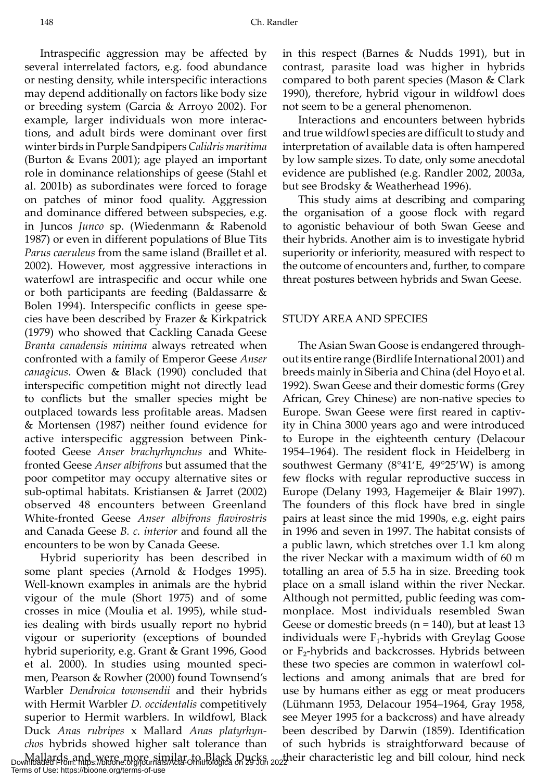Intraspecific aggression may be affected by several interrelated factors, e.g. food abundance or nesting density, while interspecific interactions may depend additionally on factors like body size or breeding system (Garcia & Arroyo 2002). For example, larger individuals won more interactions, and adult birds were dominant over first winter birds in Purple Sandpipers *Calidris maritima* (Burton & Evans 2001); age played an important role in dominance relationships of geese (Stahl et al. 2001b) as subordinates were forced to forage on patches of minor food quality. Aggression and dominance differed between subspecies, e.g. in Juncos *Junco* sp. (Wiedenmann & Rabenold 1987) or even in different populations of Blue Tits *Parus caeruleus* from the same island (Braillet et al. 2002). However, most aggressive interactions in waterfowl are intraspecific and occur while one or both participants are feeding (Baldassarre & Bolen 1994). Interspecific conflicts in geese species have been described by Frazer & Kirkpatrick (1979) who showed that Cackling Canada Geese *Branta canadensis minima* always retreated when confronted with a family of Emperor Geese *Anser canagicus*. Owen & Black (1990) concluded that interspecific competition might not directly lead to conflicts but the smaller species might be outplaced towards less profitable areas. Madsen & Mortensen (1987) neither found evidence for active interspecific aggression between Pinkfooted Geese *Anser brachyrhynchus* and Whitefronted Geese *Anser albifrons* but assumed that the poor competitor may occupy alternative sites or sub-optimal habitats. Kristiansen & Jarret (2002) observed 48 encounters between Greenland White-fronted Geese *Anser albifrons flavirostris* and Canada Geese *B. c. interior* and found all the encounters to be won by Canada Geese.

Hybrid superiority has been described in some plant species (Arnold & Hodges 1995). Well-known examples in animals are the hybrid vigour of the mule (Short 1975) and of some crosses in mice (Moulia et al. 1995), while studies dealing with birds usually report no hybrid vigour or superiority (exceptions of bounded hybrid superiority, e.g. Grant & Grant 1996, Good et al. 2000). In studies using mounted specimen, Pearson & Rowher (2000) found Townsend's Warbler *Dendroica townsendii* and their hybrids with Hermit Warbler *D. occidentalis* competitively superior to Hermit warblers. In wildfowl, Black Duck *Anas rubripes* x Mallard *Anas platyrhynchos* hybrids showed higher salt tolerance than

in this respect (Barnes & Nudds 1991), but in contrast, parasite load was higher in hybrids compared to both parent species (Mason & Clark 1990), therefore, hybrid vigour in wildfowl does not seem to be a general phenomenon.

Interactions and encounters between hybrids and true wildfowl species are difficult to study and interpretation of available data is often hampered by low sample sizes. To date, only some anecdotal evidence are published (e.g. Randler 2002, 2003a, but see Brodsky & Weatherhead 1996).

This study aims at describing and comparing the organisation of a goose flock with regard to agonistic behaviour of both Swan Geese and their hybrids. Another aim is to investigate hybrid superiority or inferiority, measured with respect to the outcome of encounters and, further, to compare threat postures between hybrids and Swan Geese.

#### STUDY AREA AND SPECIES

Mallards and were more similar to Black Ducks , their characteristic leg and bill colour, hind neck<br>Downloaded From: https://bioone.org/journals/Acta-Ornithologica on 29 Jun 2022 The Asian Swan Goose is endangered throughout its entire range (Birdlife International 2001) and breeds mainly in Siberia and China (del Hoyo et al. 1992). Swan Geese and their domestic forms (Grey African, Grey Chinese) are non-native species to Europe. Swan Geese were first reared in captivity in China 3000 years ago and were introduced to Europe in the eighteenth century (Delacour 1954–1964). The resident flock in Heidelberg in southwest Germany (8°41'E, 49°25'W) is among few flocks with regular reproductive success in Europe (Delany 1993, Hagemeijer & Blair 1997). The founders of this flock have bred in single pairs at least since the mid 1990s, e.g. eight pairs in 1996 and seven in 1997. The habitat consists of a public lawn, which stretches over 1.1 km along the river Neckar with a maximum width of 60 m totalling an area of 5.5 ha in size. Breeding took place on a small island within the river Neckar. Although not permitted, public feeding was commonplace. Most individuals resembled Swan Geese or domestic breeds ( $n = 140$ ), but at least 13 individuals were  $F_1$ -hybrids with Greylag Goose or F<sub>2</sub>-hybrids and backcrosses. Hybrids between these two species are common in waterfowl collections and among animals that are bred for use by humans either as egg or meat producers (Lühmann 1953, Delacour 1954–1964, Gray 1958, see Meyer 1995 for a backcross) and have already been described by Darwin (1859). Identification of such hybrids is straightforward because of

Terms of Use: https://bioone.org/terms-of-use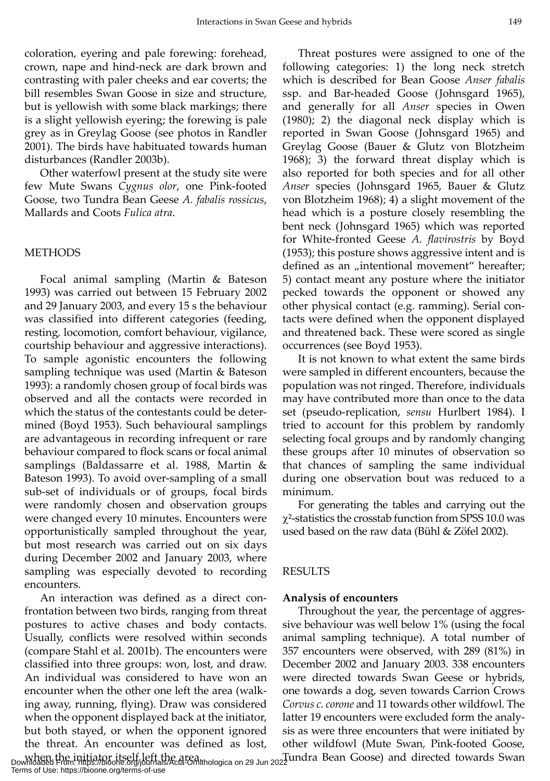coloration, eyering and pale forewing: forehead, crown, nape and hind-neck are dark brown and contrasting with paler cheeks and ear coverts; the bill resembles Swan Goose in size and structure, but is yellowish with some black markings; there is a slight yellowish eyering; the forewing is pale grey as in Greylag Goose (see photos in Randler 2001). The birds have habituated towards human disturbances (Randler 2003b).

Other waterfowl present at the study site were few Mute Swans *Cygnus olor*, one Pink-footed Goose, two Tundra Bean Geese *A. fabalis rossicus*, Mallards and Coots *Fulica atra*.

#### **METHODS**

Focal animal sampling (Martin & Bateson 1993) was carried out between 15 February 2002 and 29 January 2003, and every 15 s the behaviour was classified into different categories (feeding, resting*,* locomotion, comfort behaviour, vigilance, courtship behaviour and aggressive interactions). To sample agonistic encounters the following sampling technique was used (Martin & Bateson 1993): a randomly chosen group of focal birds was observed and all the contacts were recorded in which the status of the contestants could be determined (Boyd 1953). Such behavioural samplings are advantageous in recording infrequent or rare behaviour compared to flock scans or focal animal samplings (Baldassarre et al. 1988, Martin & Bateson 1993). To avoid over-sampling of a small sub-set of individuals or of groups, focal birds were randomly chosen and observation groups were changed every 10 minutes. Encounters were opportunistically sampled throughout the year, but most research was carried out on six days during December 2002 and January 2003, where sampling was especially devoted to recording encounters.

An interaction was defined as a direct confrontation between two birds, ranging from threat postures to active chases and body contacts. Usually, conflicts were resolved within seconds (compare Stahl et al. 2001b). The encounters were classified into three groups: won, lost, and draw. An individual was considered to have won an encounter when the other one left the area (walking away, running, flying). Draw was considered when the opponent displayed back at the initiator, but both stayed, or when the opponent ignored the threat. An encounter was defined as lost,

Threat postures were assigned to one of the following categories: 1) the long neck stretch which is described for Bean Goose *Anser fabalis* ssp. and Bar-headed Goose (Johnsgard 1965), and generally for all *Anser* species in Owen (1980); 2) the diagonal neck display which is reported in Swan Goose (Johnsgard 1965) and Greylag Goose (Bauer & Glutz von Blotzheim 1968); 3) the forward threat display which is also reported for both species and for all other *Anser* species (Johnsgard 1965, Bauer & Glutz von Blotzheim 1968); 4) a slight movement of the head which is a posture closely resembling the bent neck (Johnsgard 1965) which was reported for White-fronted Geese *A. flavirostris* by Boyd (1953); this posture shows aggressive intent and is defined as an "intentional movement" hereafter; 5) contact meant any posture where the initiator pecked towards the opponent or showed any other physical contact (e.g. ramming). Serial contacts were defined when the opponent displayed and threatened back. These were scored as single occurrences (see Boyd 1953).

It is not known to what extent the same birds were sampled in different encounters, because the population was not ringed. Therefore, individuals may have contributed more than once to the data set (pseudo-replication, *sensu* Hurlbert 1984). I tried to account for this problem by randomly selecting focal groups and by randomly changing these groups after 10 minutes of observation so that chances of sampling the same individual during one observation bout was reduced to a minimum.

For generating the tables and carrying out the χ²-statistics the crosstab function from SPSS 10.0 was used based on the raw data (Bühl & Zöfel 2002).

#### RESULTS

#### **Analysis of encounters**

Throughout the year, the percentage of aggressive behaviour was well below 1% (using the focal animal sampling technique). A total number of 357 encounters were observed, with 289 (81%) in December 2002 and January 2003. 338 encounters were directed towards Swan Geese or hybrids, one towards a dog, seven towards Carrion Crows *Corvus c. corone* and 11 towards other wildfowl. The latter 19 encounters were excluded form the analysis as were three encounters that were initiated by other wildfowl (Mute Swan, Pink-footed Goose,

when the initiator itself left the area.<br>Downloaded From: https://bioone.org/journals/Acta-Ornithologica on 29 Jun 2022 undra Bean Goose) and directed towards Swan Terms of Use: https://bioone.org/terms-of-use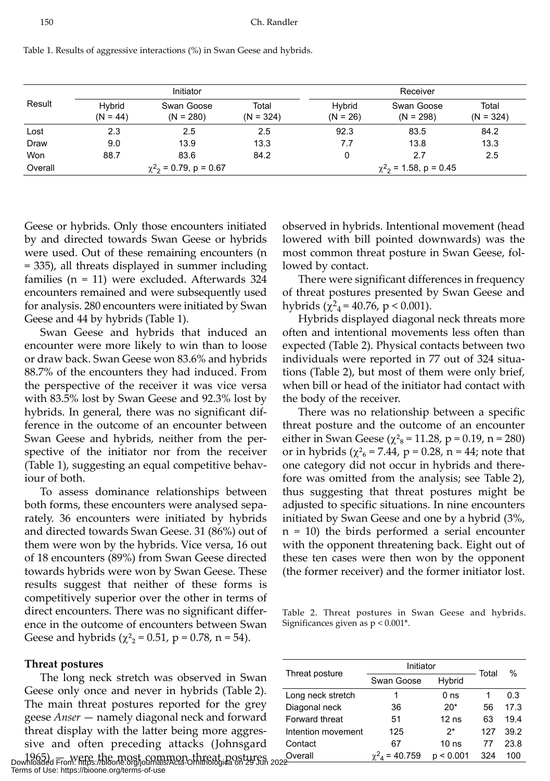|         | Initiator            |                                        |                      | Receiver             |                                        |                      |
|---------|----------------------|----------------------------------------|----------------------|----------------------|----------------------------------------|----------------------|
| Result  | Hybrid<br>$(N = 44)$ | Swan Goose<br>$(N = 280)$              | Total<br>$(N = 324)$ | Hybrid<br>$(N = 26)$ | Swan Goose<br>$(N = 298)$              | Total<br>$(N = 324)$ |
| Lost    | 2.3                  | 2.5                                    | 2.5                  | 92.3                 | 83.5                                   | 84.2                 |
| Draw    | 9.0                  | 13.9                                   | 13.3                 | 7.7                  | 13.8                                   | 13.3                 |
| Won     | 88.7                 | 83.6                                   | 84.2                 | 0                    | 2.7                                    | 2.5                  |
| Overall |                      | $\chi^2$ <sub>2</sub> = 0.79, p = 0.67 |                      |                      | $\chi^2$ <sub>2</sub> = 1.58, p = 0.45 |                      |

Table 1. Results of aggressive interactions (%) in Swan Geese and hybrids.

Geese or hybrids. Only those encounters initiated by and directed towards Swan Geese or hybrids were used. Out of these remaining encounters (n = 335), all threats displayed in summer including families (n = 11) were excluded. Afterwards 324 encounters remained and were subsequently used for analysis. 280 encounters were initiated by Swan Geese and 44 by hybrids (Table 1).

Swan Geese and hybrids that induced an encounter were more likely to win than to loose or draw back. Swan Geese won 83.6% and hybrids 88.7% of the encounters they had induced. From the perspective of the receiver it was vice versa with 83.5% lost by Swan Geese and 92.3% lost by hybrids. In general, there was no significant difference in the outcome of an encounter between Swan Geese and hybrids, neither from the perspective of the initiator nor from the receiver (Table 1), suggesting an equal competitive behaviour of both.

To assess dominance relationships between both forms, these encounters were analysed separately. 36 encounters were initiated by hybrids and directed towards Swan Geese. 31 (86%) out of them were won by the hybrids. Vice versa, 16 out of 18 encounters (89%) from Swan Geese directed towards hybrids were won by Swan Geese. These results suggest that neither of these forms is competitively superior over the other in terms of direct encounters. There was no significant difference in the outcome of encounters between Swan Geese and hybrids ( $\chi^2$ <sub>2</sub> = 0.51, p = 0.78, n = 54).

#### **Threat postures**

The long neck stretch was observed in Swan Geese only once and never in hybrids (Table 2). The main threat postures reported for the grey geese *Anser* — namely diagonal neck and forward threat display with the latter being more aggressive and often preceding attacks (Johnsgard 1965) — were the most common threat postures Overall  $\chi^2$ <sub>4</sub> = 40.759 p < 0.001 324 100<br>Downloaded From: https://bioone.org/journals/Acta-Ornithologica on 29 Jun 202<del>2</del>

Terms of Use: https://bioone.org/terms-of-use

observed in hybrids. Intentional movement (head lowered with bill pointed downwards) was the most common threat posture in Swan Geese, followed by contact.

There were significant differences in frequency of threat postures presented by Swan Geese and hybrids ( $\chi^2$ <sub>4</sub> = 40.76, p < 0.001).

Hybrids displayed diagonal neck threats more often and intentional movements less often than expected (Table 2). Physical contacts between two individuals were reported in 77 out of 324 situations (Table 2), but most of them were only brief, when bill or head of the initiator had contact with the body of the receiver.

There was no relationship between a specific threat posture and the outcome of an encounter either in Swan Geese ( $\chi^2$ <sub>8</sub> = 11.28, p = 0.19, n = 280) or in hybrids ( $\chi^2$ <sub>6</sub> = 7.44, p = 0.28, n = 44; note that one category did not occur in hybrids and therefore was omitted from the analysis; see Table 2), thus suggesting that threat postures might be adjusted to specific situations. In nine encounters initiated by Swan Geese and one by a hybrid (3%, n = 10) the birds performed a serial encounter with the opponent threatening back. Eight out of these ten cases were then won by the opponent (the former receiver) and the former initiator lost.

Table 2. Threat postures in Swan Geese and hybrids. Significances given as p < 0.001\*.

|                    | Initiator  | Total            | %   |      |
|--------------------|------------|------------------|-----|------|
| Threat posture     | Swan Goose | Hybrid           |     |      |
| Long neck stretch  | 1          | 0 <sub>ns</sub>  | 1   | 0.3  |
| Diagonal neck      | 36         | $20*$            | 56  | 17.3 |
| Forward threat     | 51         | $12$ ns          | 63  | 194  |
| Intention movement | 125        | $2^*$            | 127 | 39.2 |
| Contact            | 67         | 10 <sub>ns</sub> | 77  | 23.8 |
| Overall            | 40.759     | < 0.001<br>n     | 324 | 100  |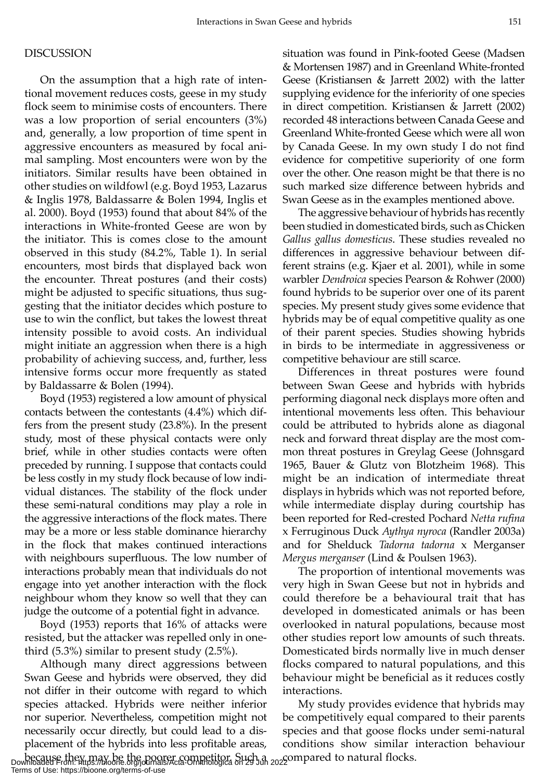#### DISCUSSION

On the assumption that a high rate of intentional movement reduces costs, geese in my study flock seem to minimise costs of encounters. There was a low proportion of serial encounters (3%) and, generally, a low proportion of time spent in aggressive encounters as measured by focal animal sampling. Most encounters were won by the initiators. Similar results have been obtained in other studies on wildfowl (e.g. Boyd 1953, Lazarus & Inglis 1978, Baldassarre & Bolen 1994, Inglis et al. 2000). Boyd (1953) found that about 84% of the interactions in White-fronted Geese are won by the initiator. This is comes close to the amount observed in this study (84.2%, Table 1). In serial encounters, most birds that displayed back won the encounter. Threat postures (and their costs) might be adjusted to specific situations, thus suggesting that the initiator decides which posture to use to win the conflict, but takes the lowest threat intensity possible to avoid costs. An individual might initiate an aggression when there is a high probability of achieving success, and, further, less intensive forms occur more frequently as stated by Baldassarre & Bolen (1994).

Boyd (1953) registered a low amount of physical contacts between the contestants (4.4%) which differs from the present study (23.8%). In the present study, most of these physical contacts were only brief, while in other studies contacts were often preceded by running. I suppose that contacts could be less costly in my study flock because of low individual distances. The stability of the flock under these semi-natural conditions may play a role in the aggressive interactions of the flock mates. There may be a more or less stable dominance hierarchy in the flock that makes continued interactions with neighbours superfluous. The low number of interactions probably mean that individuals do not engage into yet another interaction with the flock neighbour whom they know so well that they can judge the outcome of a potential fight in advance.

Boyd (1953) reports that 16% of attacks were resisted, but the attacker was repelled only in onethird (5.3%) similar to present study (2.5%).

Although many direct aggressions between Swan Geese and hybrids were observed, they did not differ in their outcome with regard to which species attacked. Hybrids were neither inferior nor superior. Nevertheless, competition might not necessarily occur directly, but could lead to a displacement of the hybrids into less profitable areas,

situation was found in Pink-footed Geese (Madsen & Mortensen 1987) and in Greenland White-fronted Geese (Kristiansen & Jarrett 2002) with the latter supplying evidence for the inferiority of one species in direct competition. Kristiansen & Jarrett (2002) recorded 48 interactions between Canada Geese and Greenland White-fronted Geese which were all won by Canada Geese. In my own study I do not find evidence for competitive superiority of one form over the other. One reason might be that there is no such marked size difference between hybrids and Swan Geese as in the examples mentioned above.

The aggressive behaviour of hybrids has recently been studied in domesticated birds, such as Chicken *Gallus gallus domesticus*. These studies revealed no differences in aggressive behaviour between different strains (e.g. Kjaer et al. 2001), while in some warbler *Dendroica* species Pearson & Rohwer (2000) found hybrids to be superior over one of its parent species. My present study gives some evidence that hybrids may be of equal competitive quality as one of their parent species. Studies showing hybrids in birds to be intermediate in aggressiveness or competitive behaviour are still scarce.

Differences in threat postures were found between Swan Geese and hybrids with hybrids performing diagonal neck displays more often and intentional movements less often. This behaviour could be attributed to hybrids alone as diagonal neck and forward threat display are the most common threat postures in Greylag Geese (Johnsgard 1965, Bauer & Glutz von Blotzheim 1968). This might be an indication of intermediate threat displays in hybrids which was not reported before, while intermediate display during courtship has been reported for Red-crested Pochard *Netta rufina* x Ferruginous Duck *Aythya nyroca* (Randler 2003a) and for Shelduck *Tadorna tadorna* x Merganser *Mergus merganser* (Lind & Poulsen 1963).

The proportion of intentional movements was very high in Swan Geese but not in hybrids and could therefore be a behavioural trait that has developed in domesticated animals or has been overlooked in natural populations, because most other studies report low amounts of such threats. Domesticated birds normally live in much denser flocks compared to natural populations, and this behaviour might be beneficial as it reduces costly interactions.

because they may be the poorer competitor. Such a compared to natural flocks. Downloaded From: https://bioone.org/journals/Acta-Ornithologica on 29 Jun 2022 My study provides evidence that hybrids may be competitively equal compared to their parents species and that goose flocks under semi-natural conditions show similar interaction behaviour

Terms of Use: https://bioone.org/terms-of-use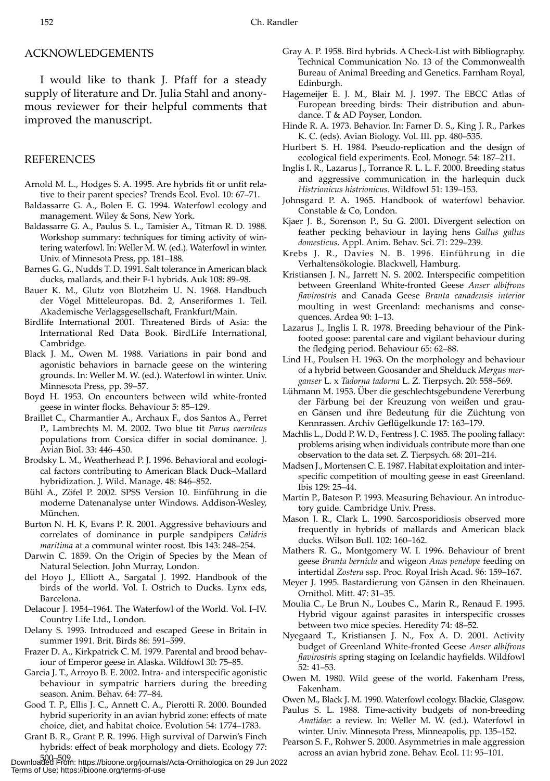#### ACKNOWLEDGEMENTS

I would like to thank J. Pfaff for a steady supply of literature and Dr. Julia Stahl and anonymous reviewer for their helpful comments that improved the manuscript.

#### REFERENCES

- Arnold M. L., Hodges S. A. 1995. Are hybrids fit or unfit relative to their parent species? Trends Ecol. Evol. 10: 67–71.
- Baldassarre G. A., Bolen E. G. 1994. Waterfowl ecology and management. Wiley & Sons, New York.
- Baldassarre G. A., Paulus S. L., Tamisier A., Titman R. D. 1988. Workshop summary: techniques for timing activity of wintering waterfowl. In: Weller M. W. (ed.). Waterfowl in winter. Univ. of Minnesota Press, pp. 181–188.
- Barnes G. G., Nudds T. D. 1991. Salt tolerance in American black ducks, mallards, and their F-1 hybrids. Auk 108: 89–98.
- Bauer K. M., Glutz von Blotzheim U. N. 1968. Handbuch der Vögel Mitteleuropas. Bd. 2, Anseriformes 1. Teil. Akademische Verlagsgesellschaft, Frankfurt/Main.
- Birdlife International 2001. Threatened Birds of Asia: the International Red Data Book. BirdLife International, Cambridge.
- Black J. M., Owen M. 1988. Variations in pair bond and agonistic behaviors in barnacle geese on the wintering grounds. In: Weller M. W. (ed.). Waterfowl in winter. Univ. Minnesota Press, pp. 39–57.
- Boyd H. 1953. On encounters between wild white-fronted geese in winter flocks. Behaviour 5: 85–129.
- Braillet C., Charmantier A., Archaux F., dos Santos A., Perret P., Lambrechts M. M. 2002. Two blue tit *Parus caeruleus* populations from Corsica differ in social dominance. J. Avian Biol. 33: 446–450.
- Brodsky L. M., Weatherhead P. J. 1996. Behavioral and ecological factors contributing to American Black Duck–Mallard hybridization. J. Wild. Manage. 48: 846–852.
- Bühl A., Zöfel P. 2002. SPSS Version 10. Einführung in die moderne Datenanalyse unter Windows. Addison-Wesley, München.
- Burton N. H. K, Evans P. R. 2001. Aggressive behaviours and correlates of dominance in purple sandpipers *Calidris maritima* at a communal winter roost. Ibis 143: 248–254.
- Darwin C. 1859. On the Origin of Species by the Mean of Natural Selection. John Murray, London.
- del Hoyo J., Elliott A., Sargatal J. 1992. Handbook of the birds of the world. Vol. I. Ostrich to Ducks. Lynx eds, Barcelona.
- Delacour J. 1954–1964. The Waterfowl of the World. Vol. I–IV. Country Life Ltd., London.
- Delany S. 1993. Introduced and escaped Geese in Britain in summer 1991. Brit. Birds 86: 591–599.
- Frazer D. A., Kirkpatrick C. M. 1979. Parental and brood behaviour of Emperor geese in Alaska. Wildfowl 30: 75–85.
- Garcia J. T., Arroyo B. E. 2002. Intra- and interspecific agonistic behaviour in sympatric harriers during the breeding season. Anim. Behav. 64: 77–84.
- Good T. P., Ellis J. C., Annett C. A., Pierotti R. 2000. Bounded hybrid superiority in an avian hybrid zone: effects of mate choice, diet, and habitat choice. Evolution 54: 1774–1783.
- Grant B. R., Grant P. R. 1996. High survival of Darwin's Finch hybrids: effect of beak morphology and diets. Ecology 77:

500–509. Downloaded From: https://bioone.org/journals/Acta-Ornithologica on 29 Jun 2022 Terms of Use: https://bioone.org/terms-of-use

- Gray A. P. 1958. Bird hybrids. A Check-List with Bibliography. Technical Communication No. 13 of the Commonwealth Bureau of Animal Breeding and Genetics. Farnham Royal, Edinburgh.
- Hagemeijer E. J. M., Blair M. J. 1997. The EBCC Atlas of European breeding birds: Their distribution and abundance. T & AD Poyser, London.
- Hinde R. A. 1973. Behavior. In: Farner D. S., King J. R., Parkes K. C. (eds). Avian Biology. Vol. III. pp. 480–535.
- Hurlbert S. H. 1984. Pseudo-replication and the design of ecological field experiments. Ecol. Monogr. 54: 187–211.
- Inglis I. R., Lazarus J., Torrance R. L. L. F. 2000. Breeding status and aggressive communication in the harlequin duck *Histrionicus histrionicus*. Wildfowl 51: 139–153.
- Johnsgard P. A. 1965. Handbook of waterfowl behavior. Constable & Co, London.
- Kjaer J. B., Sorenson P., Su G. 2001. Divergent selection on feather pecking behaviour in laying hens *Gallus gallus domesticus*. Appl. Anim. Behav. Sci. 71: 229–239.
- Krebs J. R., Davies N. B. 1996. Einführung in die Verhaltensökologie. Blackwell, Hamburg.
- Kristiansen J. N., Jarrett N. S. 2002. Interspecific competition between Greenland White-fronted Geese *Anser albifrons flavirostris* and Canada Geese *Branta canadensis interior* moulting in west Greenland: mechanisms and consequences. Ardea 90: 1–13.
- Lazarus J., Inglis I. R. 1978. Breeding behaviour of the Pinkfooted goose: parental care and vigilant behaviour during the fledging period. Behaviour 65: 62–88.
- Lind H., Poulsen H. 1963. On the morphology and behaviour of a hybrid between Goosander and Shelduck *Mergus merganser* L*.* x *Tadorna tadorna* L. Z. Tierpsych. 20: 558–569.
- Lühmann M. 1953. Über die geschlechtsgebundene Vererbung der Färbung bei der Kreuzung von weißen und grauen Gänsen und ihre Bedeutung für die Züchtung von Kennrassen. Archiv Geflügelkunde 17: 163–179.
- Machlis L., Dodd P. W. D., Fentress J. C. 1985. The pooling fallacy: problems arising when individuals contribute more than one observation to the data set. Z. Tierpsych. 68: 201–214.
- Madsen J., Mortensen C. E. 1987. Habitat exploitation and interspecific competition of moulting geese in east Greenland. Ibis 129: 25–44.
- Martin P., Bateson P. 1993. Measuring Behaviour. An introductory guide. Cambridge Univ. Press.
- Mason J. R., Clark L. 1990. Sarcosporidiosis observed more frequently in hybrids of mallards and American black ducks. Wilson Bull. 102: 160–162.
- Mathers R. G., Montgomery W. I. 1996. Behaviour of brent geese *Branta bernicla* and wigeon *Anas penelope* feeding on intertidal *Zostera* ssp. Proc. Royal Irish Acad. 96: 159–167.
- Meyer J. 1995. Bastardierung von Gänsen in den Rheinauen. Ornithol. Mitt. 47: 31–35.
- Moulia C., Le Brun N., Loubes C., Marin R., Renaud F. 1995. Hybrid vigour against parasites in interspecific crosses between two mice species. Heredity 74: 48–52.
- Nyegaard T., Kristiansen J. N., Fox A. D. 2001. Activity budget of Greenland White-fronted Geese *Anser albifrons flavirostris* spring staging on Icelandic hayfields. Wildfowl 52: 41–53.
- Owen M. 1980. Wild geese of the world. Fakenham Press, Fakenham.
- Owen M., Black J. M. 1990. Waterfowl ecology. Blackie, Glasgow.
- Paulus S. L. 1988. Time-activity budgets of non-breeding *Anatidae*: a review. In: Weller M. W. (ed.). Waterfowl in winter. Univ. Minnesota Press, Minneapolis, pp. 135–152.
- Pearson S. F., Rohwer S. 2000. Asymmetries in male aggression across an avian hybrid zone. Behav. Ecol. 11: 95–101.